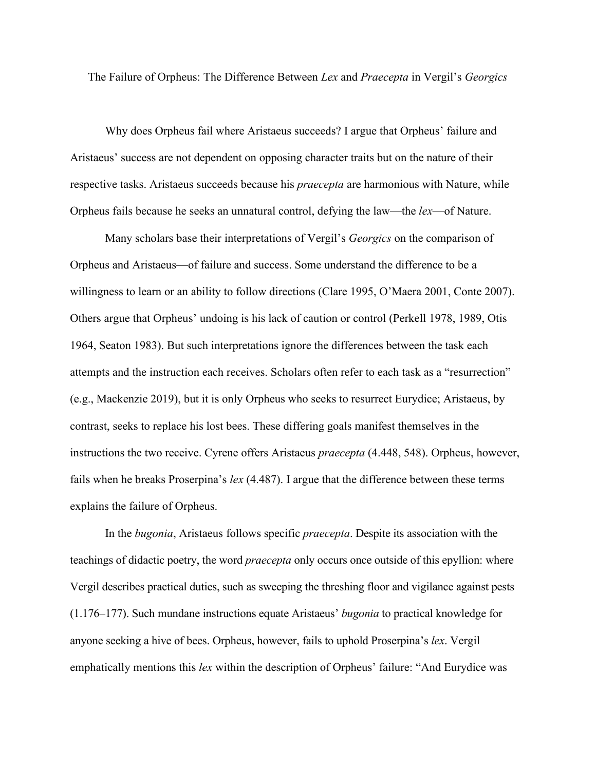The Failure of Orpheus: The Difference Between *Lex* and *Praecepta* in Vergil's *Georgics*

Why does Orpheus fail where Aristaeus succeeds? I argue that Orpheus' failure and Aristaeus' success are not dependent on opposing character traits but on the nature of their respective tasks. Aristaeus succeeds because his *praecepta* are harmonious with Nature, while Orpheus fails because he seeks an unnatural control, defying the law—the *lex*—of Nature.

Many scholars base their interpretations of Vergil's *Georgics* on the comparison of Orpheus and Aristaeus—of failure and success. Some understand the difference to be a willingness to learn or an ability to follow directions (Clare 1995, O'Maera 2001, Conte 2007). Others argue that Orpheus' undoing is his lack of caution or control (Perkell 1978, 1989, Otis 1964, Seaton 1983). But such interpretations ignore the differences between the task each attempts and the instruction each receives. Scholars often refer to each task as a "resurrection" (e.g., Mackenzie 2019), but it is only Orpheus who seeks to resurrect Eurydice; Aristaeus, by contrast, seeks to replace his lost bees. These differing goals manifest themselves in the instructions the two receive. Cyrene offers Aristaeus *praecepta* (4.448, 548). Orpheus, however, fails when he breaks Proserpina's *lex* (4.487). I argue that the difference between these terms explains the failure of Orpheus.

In the *bugonia*, Aristaeus follows specific *praecepta*. Despite its association with the teachings of didactic poetry, the word *praecepta* only occurs once outside of this epyllion: where Vergil describes practical duties, such as sweeping the threshing floor and vigilance against pests (1.176–177). Such mundane instructions equate Aristaeus' *bugonia* to practical knowledge for anyone seeking a hive of bees. Orpheus, however, fails to uphold Proserpina's *lex*. Vergil emphatically mentions this *lex* within the description of Orpheus' failure: "And Eurydice was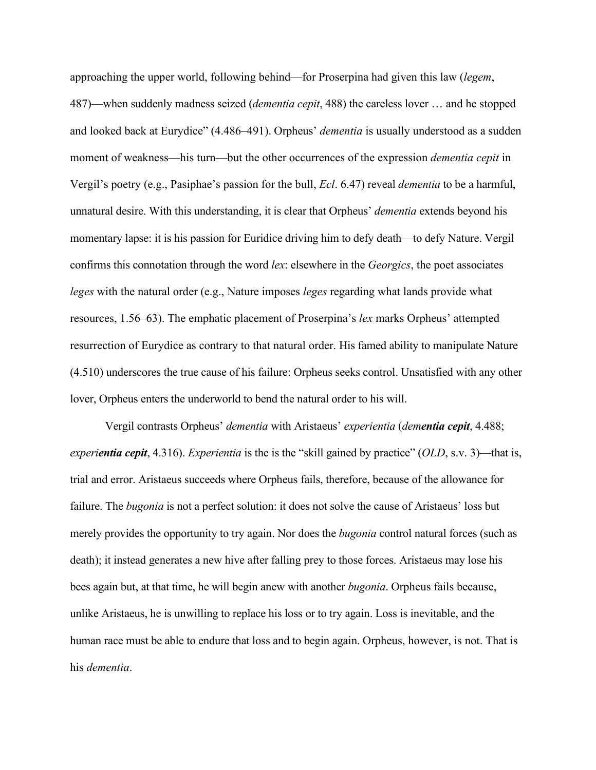approaching the upper world, following behind—for Proserpina had given this law (*legem*, 487)—when suddenly madness seized (*dementia cepit*, 488) the careless lover … and he stopped and looked back at Eurydice" (4.486–491). Orpheus' *dementia* is usually understood as a sudden moment of weakness—his turn—but the other occurrences of the expression *dementia cepit* in Vergil's poetry (e.g., Pasiphae's passion for the bull, *Ecl*. 6.47) reveal *dementia* to be a harmful, unnatural desire. With this understanding, it is clear that Orpheus' *dementia* extends beyond his momentary lapse: it is his passion for Euridice driving him to defy death—to defy Nature. Vergil confirms this connotation through the word *lex*: elsewhere in the *Georgics*, the poet associates *leges* with the natural order (e.g., Nature imposes *leges* regarding what lands provide what resources, 1.56–63). The emphatic placement of Proserpina's *lex* marks Orpheus' attempted resurrection of Eurydice as contrary to that natural order. His famed ability to manipulate Nature (4.510) underscores the true cause of his failure: Orpheus seeks control. Unsatisfied with any other lover, Orpheus enters the underworld to bend the natural order to his will.

Vergil contrasts Orpheus' *dementia* with Aristaeus' *experientia* (*dementia cepit*, 4.488; *experientia cepit*, 4.316). *Experientia* is the is the "skill gained by practice" (*OLD*, s.v. 3)—that is, trial and error. Aristaeus succeeds where Orpheus fails, therefore, because of the allowance for failure. The *bugonia* is not a perfect solution: it does not solve the cause of Aristaeus' loss but merely provides the opportunity to try again. Nor does the *bugonia* control natural forces (such as death); it instead generates a new hive after falling prey to those forces. Aristaeus may lose his bees again but, at that time, he will begin anew with another *bugonia*. Orpheus fails because, unlike Aristaeus, he is unwilling to replace his loss or to try again. Loss is inevitable, and the human race must be able to endure that loss and to begin again. Orpheus, however, is not. That is his *dementia*.